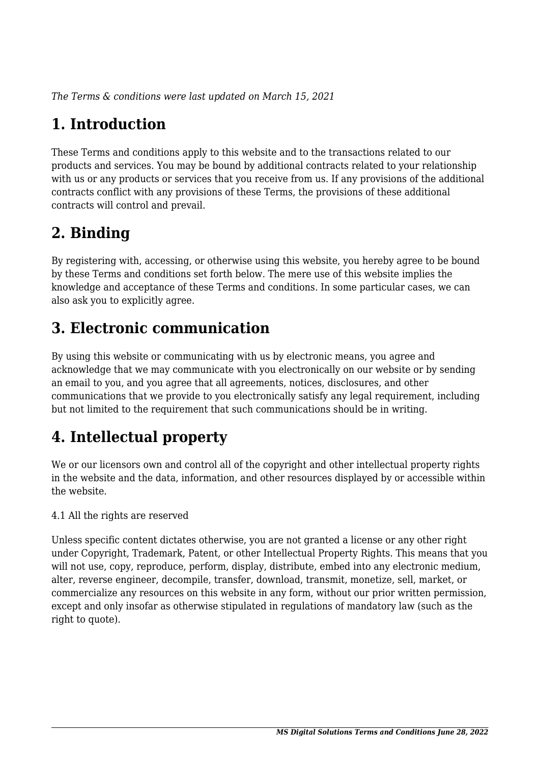*The Terms & conditions were last updated on March 15, 2021*

# **1. Introduction**

These Terms and conditions apply to this website and to the transactions related to our products and services. You may be bound by additional contracts related to your relationship with us or any products or services that you receive from us. If any provisions of the additional contracts conflict with any provisions of these Terms, the provisions of these additional contracts will control and prevail.

## **2. Binding**

By registering with, accessing, or otherwise using this website, you hereby agree to be bound by these Terms and conditions set forth below. The mere use of this website implies the knowledge and acceptance of these Terms and conditions. In some particular cases, we can also ask you to explicitly agree.

## **3. Electronic communication**

By using this website or communicating with us by electronic means, you agree and acknowledge that we may communicate with you electronically on our website or by sending an email to you, and you agree that all agreements, notices, disclosures, and other communications that we provide to you electronically satisfy any legal requirement, including but not limited to the requirement that such communications should be in writing.

# **4. Intellectual property**

We or our licensors own and control all of the copyright and other intellectual property rights in the website and the data, information, and other resources displayed by or accessible within the website.

4.1 All the rights are reserved

Unless specific content dictates otherwise, you are not granted a license or any other right under Copyright, Trademark, Patent, or other Intellectual Property Rights. This means that you will not use, copy, reproduce, perform, display, distribute, embed into any electronic medium, alter, reverse engineer, decompile, transfer, download, transmit, monetize, sell, market, or commercialize any resources on this website in any form, without our prior written permission, except and only insofar as otherwise stipulated in regulations of mandatory law (such as the right to quote).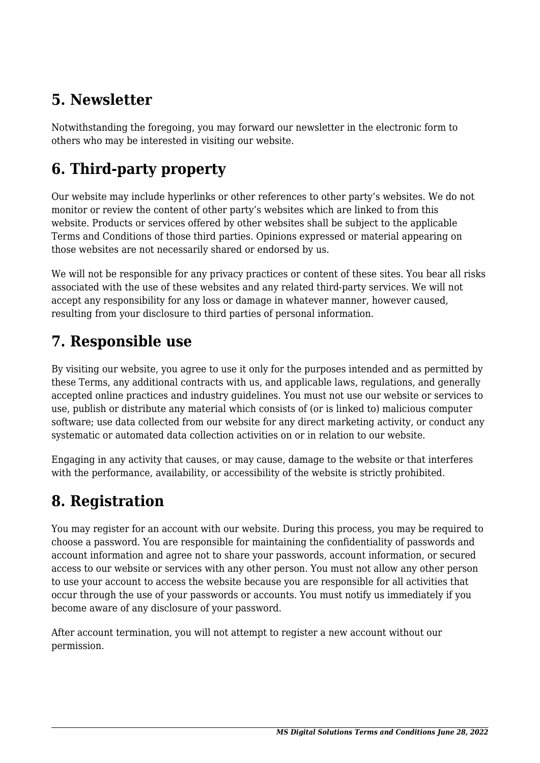## **5. Newsletter**

Notwithstanding the foregoing, you may forward our newsletter in the electronic form to others who may be interested in visiting our website.

# **6. Third-party property**

Our website may include hyperlinks or other references to other party's websites. We do not monitor or review the content of other party's websites which are linked to from this website. Products or services offered by other websites shall be subject to the applicable Terms and Conditions of those third parties. Opinions expressed or material appearing on those websites are not necessarily shared or endorsed by us.

We will not be responsible for any privacy practices or content of these sites. You bear all risks associated with the use of these websites and any related third-party services. We will not accept any responsibility for any loss or damage in whatever manner, however caused, resulting from your disclosure to third parties of personal information.

#### **7. Responsible use**

By visiting our website, you agree to use it only for the purposes intended and as permitted by these Terms, any additional contracts with us, and applicable laws, regulations, and generally accepted online practices and industry guidelines. You must not use our website or services to use, publish or distribute any material which consists of (or is linked to) malicious computer software; use data collected from our website for any direct marketing activity, or conduct any systematic or automated data collection activities on or in relation to our website.

Engaging in any activity that causes, or may cause, damage to the website or that interferes with the performance, availability, or accessibility of the website is strictly prohibited.

## **8. Registration**

You may register for an account with our website. During this process, you may be required to choose a password. You are responsible for maintaining the confidentiality of passwords and account information and agree not to share your passwords, account information, or secured access to our website or services with any other person. You must not allow any other person to use your account to access the website because you are responsible for all activities that occur through the use of your passwords or accounts. You must notify us immediately if you become aware of any disclosure of your password.

After account termination, you will not attempt to register a new account without our permission.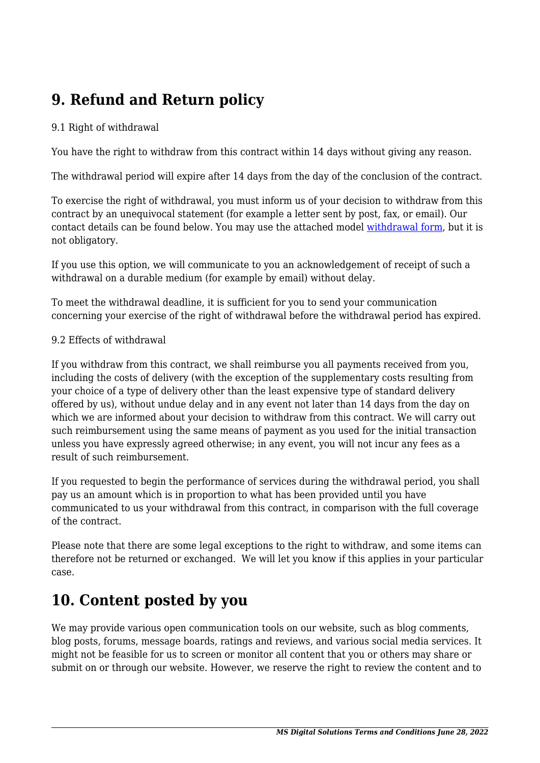## **9. Refund and Return policy**

#### 9.1 Right of withdrawal

You have the right to withdraw from this contract within 14 days without giving any reason.

The withdrawal period will expire after 14 days from the day of the conclusion of the contract.

To exercise the right of withdrawal, you must inform us of your decision to withdraw from this contract by an unequivocal statement (for example a letter sent by post, fax, or email). Our contact details can be found below. You may use the attached model [withdrawal form](https://msdigitalsolutions.com/wp-content/uploads/complianz/withdrawal-forms/withdrawal-form-en.pdf), but it is not obligatory.

If you use this option, we will communicate to you an acknowledgement of receipt of such a withdrawal on a durable medium (for example by email) without delay.

To meet the withdrawal deadline, it is sufficient for you to send your communication concerning your exercise of the right of withdrawal before the withdrawal period has expired.

#### 9.2 Effects of withdrawal

If you withdraw from this contract, we shall reimburse you all payments received from you, including the costs of delivery (with the exception of the supplementary costs resulting from your choice of a type of delivery other than the least expensive type of standard delivery offered by us), without undue delay and in any event not later than 14 days from the day on which we are informed about your decision to withdraw from this contract. We will carry out such reimbursement using the same means of payment as you used for the initial transaction unless you have expressly agreed otherwise; in any event, you will not incur any fees as a result of such reimbursement.

If you requested to begin the performance of services during the withdrawal period, you shall pay us an amount which is in proportion to what has been provided until you have communicated to us your withdrawal from this contract, in comparison with the full coverage of the contract.

Please note that there are some legal exceptions to the right to withdraw, and some items can therefore not be returned or exchanged. We will let you know if this applies in your particular case.

#### **10. Content posted by you**

We may provide various open communication tools on our website, such as blog comments, blog posts, forums, message boards, ratings and reviews, and various social media services. It might not be feasible for us to screen or monitor all content that you or others may share or submit on or through our website. However, we reserve the right to review the content and to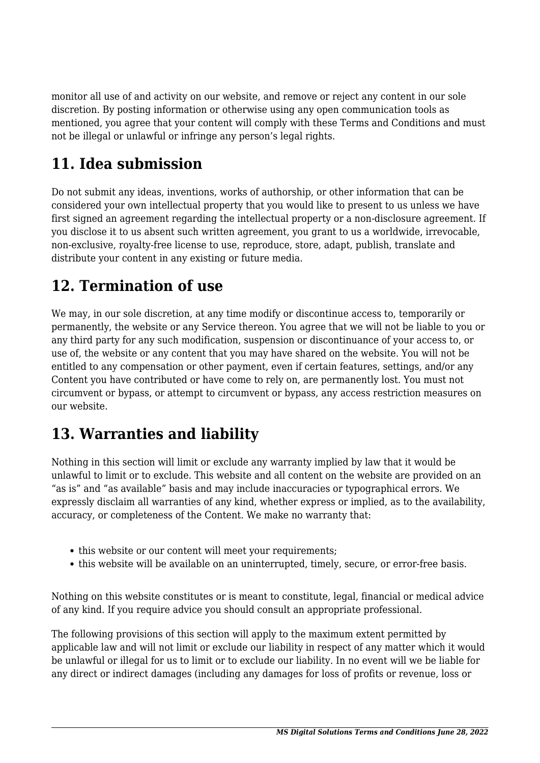monitor all use of and activity on our website, and remove or reject any content in our sole discretion. By posting information or otherwise using any open communication tools as mentioned, you agree that your content will comply with these Terms and Conditions and must not be illegal or unlawful or infringe any person's legal rights.

# **11. Idea submission**

Do not submit any ideas, inventions, works of authorship, or other information that can be considered your own intellectual property that you would like to present to us unless we have first signed an agreement regarding the intellectual property or a non-disclosure agreement. If you disclose it to us absent such written agreement, you grant to us a worldwide, irrevocable, non-exclusive, royalty-free license to use, reproduce, store, adapt, publish, translate and distribute your content in any existing or future media.

## **12. Termination of use**

We may, in our sole discretion, at any time modify or discontinue access to, temporarily or permanently, the website or any Service thereon. You agree that we will not be liable to you or any third party for any such modification, suspension or discontinuance of your access to, or use of, the website or any content that you may have shared on the website. You will not be entitled to any compensation or other payment, even if certain features, settings, and/or any Content you have contributed or have come to rely on, are permanently lost. You must not circumvent or bypass, or attempt to circumvent or bypass, any access restriction measures on our website.

## **13. Warranties and liability**

Nothing in this section will limit or exclude any warranty implied by law that it would be unlawful to limit or to exclude. This website and all content on the website are provided on an "as is" and "as available" basis and may include inaccuracies or typographical errors. We expressly disclaim all warranties of any kind, whether express or implied, as to the availability, accuracy, or completeness of the Content. We make no warranty that:

- this website or our content will meet your requirements:
- this website will be available on an uninterrupted, timely, secure, or error-free basis.

Nothing on this website constitutes or is meant to constitute, legal, financial or medical advice of any kind. If you require advice you should consult an appropriate professional.

The following provisions of this section will apply to the maximum extent permitted by applicable law and will not limit or exclude our liability in respect of any matter which it would be unlawful or illegal for us to limit or to exclude our liability. In no event will we be liable for any direct or indirect damages (including any damages for loss of profits or revenue, loss or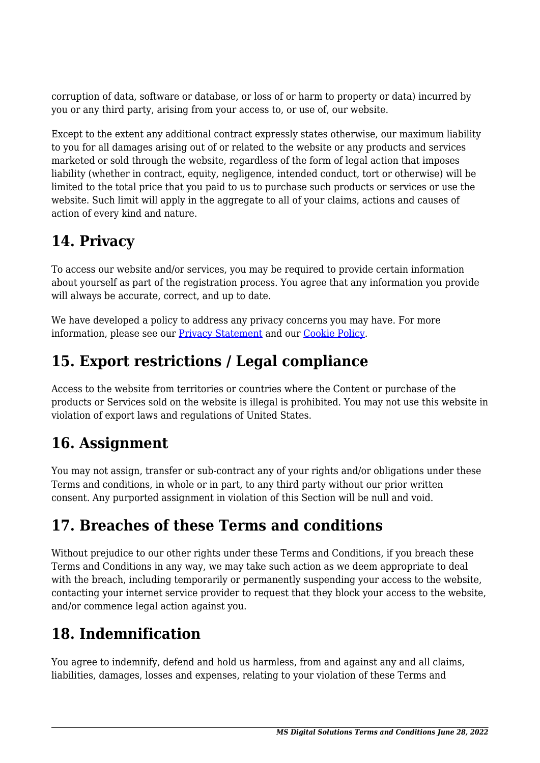corruption of data, software or database, or loss of or harm to property or data) incurred by you or any third party, arising from your access to, or use of, our website.

Except to the extent any additional contract expressly states otherwise, our maximum liability to you for all damages arising out of or related to the website or any products and services marketed or sold through the website, regardless of the form of legal action that imposes liability (whether in contract, equity, negligence, intended conduct, tort or otherwise) will be limited to the total price that you paid to us to purchase such products or services or use the website. Such limit will apply in the aggregate to all of your claims, actions and causes of action of every kind and nature.

## **14. Privacy**

To access our website and/or services, you may be required to provide certain information about yourself as part of the registration process. You agree that any information you provide will always be accurate, correct, and up to date.

We have developed a policy to address any privacy concerns you may have. For more information, please see our [Privacy Statement](https://msdigitalsolutions.com/privacy-statement/?cmplz_region_redirect=true) and our [Cookie Policy](https://msdigitalsolutions.com/cookie-policy/?cmplz_region_redirect=true).

## **15. Export restrictions / Legal compliance**

Access to the website from territories or countries where the Content or purchase of the products or Services sold on the website is illegal is prohibited. You may not use this website in violation of export laws and regulations of United States.

## **16. Assignment**

You may not assign, transfer or sub-contract any of your rights and/or obligations under these Terms and conditions, in whole or in part, to any third party without our prior written consent. Any purported assignment in violation of this Section will be null and void.

## **17. Breaches of these Terms and conditions**

Without prejudice to our other rights under these Terms and Conditions, if you breach these Terms and Conditions in any way, we may take such action as we deem appropriate to deal with the breach, including temporarily or permanently suspending your access to the website, contacting your internet service provider to request that they block your access to the website, and/or commence legal action against you.

# **18. Indemnification**

You agree to indemnify, defend and hold us harmless, from and against any and all claims, liabilities, damages, losses and expenses, relating to your violation of these Terms and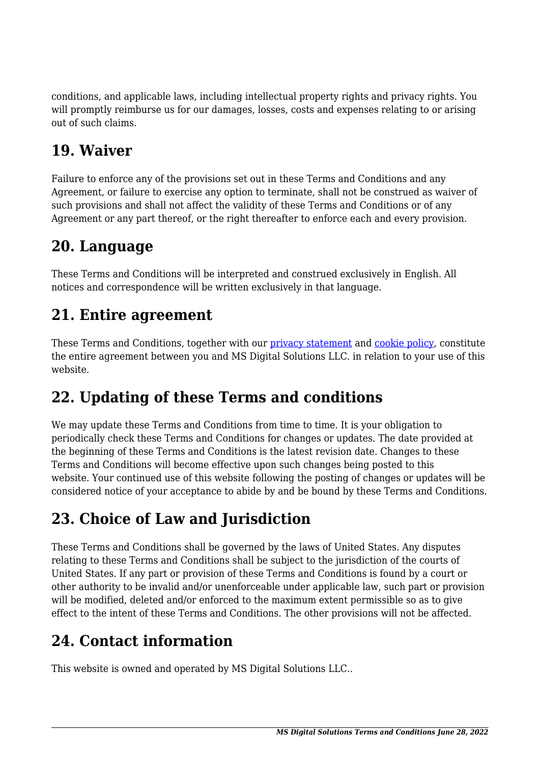conditions, and applicable laws, including intellectual property rights and privacy rights. You will promptly reimburse us for our damages, losses, costs and expenses relating to or arising out of such claims.

#### **19. Waiver**

Failure to enforce any of the provisions set out in these Terms and Conditions and any Agreement, or failure to exercise any option to terminate, shall not be construed as waiver of such provisions and shall not affect the validity of these Terms and Conditions or of any Agreement or any part thereof, or the right thereafter to enforce each and every provision.

#### **20. Language**

These Terms and Conditions will be interpreted and construed exclusively in English. All notices and correspondence will be written exclusively in that language.

## **21. Entire agreement**

These Terms and Conditions, together with our [privacy statement](https://msdigitalsolutions.com/privacy-statement/?cmplz_region_redirect=true) and [cookie policy,](https://msdigitalsolutions.com/cookie-policy/?cmplz_region_redirect=true) constitute the entire agreement between you and MS Digital Solutions LLC. in relation to your use of this website.

## **22. Updating of these Terms and conditions**

We may update these Terms and Conditions from time to time. It is your obligation to periodically check these Terms and Conditions for changes or updates. The date provided at the beginning of these Terms and Conditions is the latest revision date. Changes to these Terms and Conditions will become effective upon such changes being posted to this website. Your continued use of this website following the posting of changes or updates will be considered notice of your acceptance to abide by and be bound by these Terms and Conditions.

## **23. Choice of Law and Jurisdiction**

These Terms and Conditions shall be governed by the laws of United States. Any disputes relating to these Terms and Conditions shall be subject to the jurisdiction of the courts of United States. If any part or provision of these Terms and Conditions is found by a court or other authority to be invalid and/or unenforceable under applicable law, such part or provision will be modified, deleted and/or enforced to the maximum extent permissible so as to give effect to the intent of these Terms and Conditions. The other provisions will not be affected.

# **24. Contact information**

This website is owned and operated by MS Digital Solutions LLC..